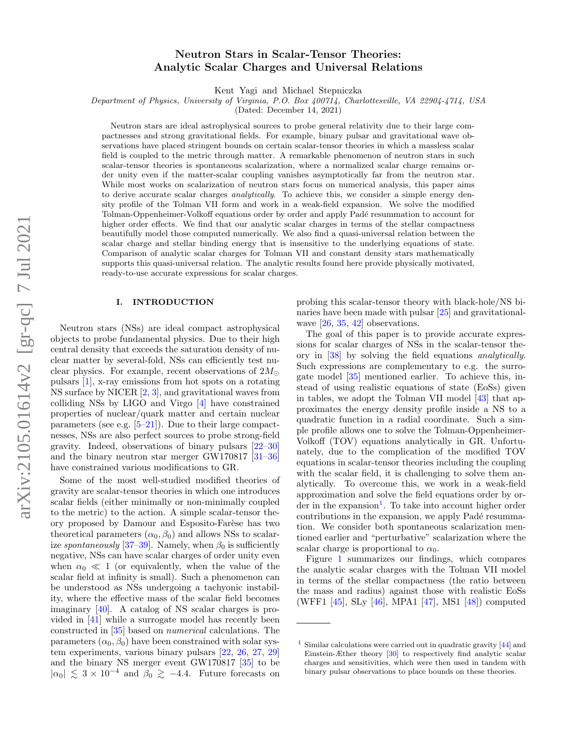# Neutron Stars in Scalar-Tensor Theories: Analytic Scalar Charges and Universal Relations

Kent Yagi and Michael Stepniczka

Department of Physics, University of Virginia, P.O. Box 400714, Charlottesville, VA 22904-4714, USA

(Dated: December 14, 2021)

Neutron stars are ideal astrophysical sources to probe general relativity due to their large compactnesses and strong gravitational fields. For example, binary pulsar and gravitational wave observations have placed stringent bounds on certain scalar-tensor theories in which a massless scalar field is coupled to the metric through matter. A remarkable phenomenon of neutron stars in such scalar-tensor theories is spontaneous scalarization, where a normalized scalar charge remains order unity even if the matter-scalar coupling vanishes asymptotically far from the neutron star. While most works on scalarization of neutron stars focus on numerical analysis, this paper aims to derive accurate scalar charges *analytically*. To achieve this, we consider a simple energy density profile of the Tolman VII form and work in a weak-field expansion. We solve the modified Tolman-Oppenheimer-Volkoff equations order by order and apply Padé resummation to account for higher order effects. We find that our analytic scalar charges in terms of the stellar compactness beautifully model those computed numerically. We also find a quasi-universal relation between the scalar charge and stellar binding energy that is insensitive to the underlying equations of state. Comparison of analytic scalar charges for Tolman VII and constant density stars mathematically supports this quasi-universal relation. The analytic results found here provide physically motivated, ready-to-use accurate expressions for scalar charges.

## I. INTRODUCTION

Neutron stars (NSs) are ideal compact astrophysical objects to probe fundamental physics. Due to their high central density that exceeds the saturation density of nuclear matter by several-fold, NSs can efficiently test nuclear physics. For example, recent observations of  $2M_{\odot}$ pulsars [\[1\]](#page-10-0), x-ray emissions from hot spots on a rotating NS surface by NICER [\[2,](#page-10-1) [3\]](#page-10-2), and gravitational waves from colliding NSs by LIGO and Virgo [\[4\]](#page-10-3) have constrained properties of nuclear/quark matter and certain nuclear parameters (see e.g. [\[5–](#page-10-4)[21\]](#page-10-5)). Due to their large compactnesses, NSs are also perfect sources to probe strong-field gravity. Indeed, observations of binary pulsars [\[22](#page-10-6)[–30\]](#page-10-7) and the binary neutron star merger GW170817 [\[31](#page-11-0)[–36\]](#page-11-1) have constrained various modifications to GR.

Some of the most well-studied modified theories of gravity are scalar-tensor theories in which one introduces scalar fields (either minimally or non-minimally coupled to the metric) to the action. A simple scalar-tensor theory proposed by Damour and Esposito-Farèse has two theoretical parameters  $(\alpha_0, \beta_0)$  and allows NSs to scalar-ize spontaneously [\[37](#page-11-2)[–39\]](#page-11-3). Namely, when  $\beta_0$  is sufficiently negative, NSs can have scalar charges of order unity even when  $\alpha_0 \ll 1$  (or equivalently, when the value of the scalar field at infinity is small). Such a phenomenon can be understood as NSs undergoing a tachyonic instability, where the effective mass of the scalar field becomes imaginary [\[40\]](#page-11-4). A catalog of NS scalar charges is provided in [\[41\]](#page-11-5) while a surrogate model has recently been constructed in [\[35\]](#page-11-6) based on numerical calculations. The parameters  $(\alpha_0, \beta_0)$  have been constrained with solar system experiments, various binary pulsars [\[22,](#page-10-6) [26,](#page-10-8) [27,](#page-10-9) [29\]](#page-10-10) and the binary NS merger event GW170817 [\[35\]](#page-11-6) to be  $|\alpha_0| \lesssim 3 \times 10^{-4}$  and  $\widetilde{\beta_0} \gtrsim -4.4$ . Future forecasts on

probing this scalar-tensor theory with black-hole/NS binaries have been made with pulsar [\[25\]](#page-10-11) and gravitationalwave [\[26,](#page-10-8) [35,](#page-11-6) [42\]](#page-11-7) observations.

The goal of this paper is to provide accurate expressions for scalar charges of NSs in the scalar-tensor theory in [\[38\]](#page-11-8) by solving the field equations analytically. Such expressions are complementary to e.g. the surrogate model [\[35\]](#page-11-6) mentioned earlier. To achieve this, instead of using realistic equations of state (EoSs) given in tables, we adopt the Tolman VII model [\[43\]](#page-11-9) that approximates the energy density profile inside a NS to a quadratic function in a radial coordinate. Such a simple profile allows one to solve the Tolman-Oppenheimer-Volkoff (TOV) equations analytically in GR. Unfortunately, due to the complication of the modified TOV equations in scalar-tensor theories including the coupling with the scalar field, it is challenging to solve them analytically. To overcome this, we work in a weak-field approximation and solve the field equations order by or-der in the expansion<sup>[1](#page-0-0)</sup>. To take into account higher order contributions in the expansion, we apply Padé resummation. We consider both spontaneous scalarization mentioned earlier and "perturbative" scalarization where the scalar charge is proportional to  $\alpha_0$ .

Figure [1](#page-1-0) summarizes our findings, which compares the analytic scalar charges with the Tolman VII model in terms of the stellar compactness (the ratio between the mass and radius) against those with realistic EoSs (WFF1 [\[45\]](#page-11-10), SLy [\[46\]](#page-11-11), MPA1 [\[47\]](#page-11-12), MS1 [\[48\]](#page-11-13)) computed

<span id="page-0-0"></span> $1 \text{ Similar calculations were carried out in quadratic gravity [44] and}$  $1 \text{ Similar calculations were carried out in quadratic gravity [44] and}$  $1 \text{ Similar calculations were carried out in quadratic gravity [44] and}$ Einstein-Æther theory [\[30\]](#page-10-7) to respectively find analytic scalar charges and sensitivities, which were then used in tandem with binary pulsar observations to place bounds on these theories.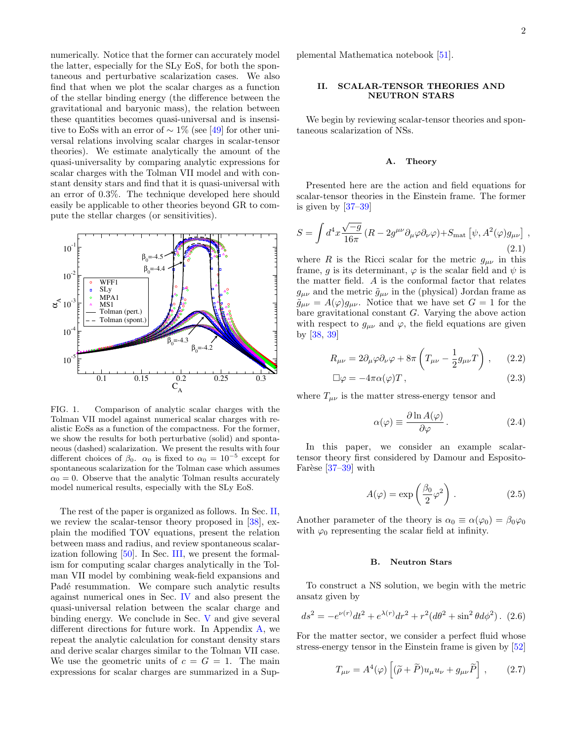numerically. Notice that the former can accurately model the latter, especially for the SLy EoS, for both the spontaneous and perturbative scalarization cases. We also find that when we plot the scalar charges as a function of the stellar binding energy (the difference between the gravitational and baryonic mass), the relation between these quantities becomes quasi-universal and is insensitive to EoSs with an error of  $\sim 1\%$  (see [\[49\]](#page-11-15) for other universal relations involving scalar charges in scalar-tensor theories). We estimate analytically the amount of the quasi-universality by comparing analytic expressions for scalar charges with the Tolman VII model and with constant density stars and find that it is quasi-universal with an error of 0.3%. The technique developed here should easily be applicable to other theories beyond GR to compute the stellar charges (or sensitivities).



<span id="page-1-0"></span>FIG. 1. Comparison of analytic scalar charges with the Tolman VII model against numerical scalar charges with realistic EoSs as a function of the compactness. For the former, we show the results for both perturbative (solid) and spontaneous (dashed) scalarization. We present the results with four different choices of  $\beta_0$ .  $\alpha_0$  is fixed to  $\alpha_0 = 10^{-5}$  except for spontaneous scalarization for the Tolman case which assumes  $\alpha_0 = 0$ . Observe that the analytic Tolman results accurately model numerical results, especially with the SLy EoS.

The rest of the paper is organized as follows. In Sec. [II,](#page-1-1) we review the scalar-tensor theory proposed in [\[38\]](#page-11-8), explain the modified TOV equations, present the relation between mass and radius, and review spontaneous scalarization following [\[50\]](#page-11-16). In Sec. [III,](#page-3-0) we present the formalism for computing scalar charges analytically in the Tolman VII model by combining weak-field expansions and Padé resummation. We compare such analytic results against numerical ones in Sec. [IV](#page-6-0) and also present the quasi-universal relation between the scalar charge and binding energy. We conclude in Sec. [V](#page-8-0) and give several different directions for future work. In Appendix [A,](#page-8-1) we repeat the analytic calculation for constant density stars and derive scalar charges similar to the Tolman VII case. We use the geometric units of  $c = G = 1$ . The main expressions for scalar charges are summarized in a Supplemental Mathematica notebook [\[51\]](#page-11-17).

## <span id="page-1-1"></span>II. SCALAR-TENSOR THEORIES AND NEUTRON STARS

We begin by reviewing scalar-tensor theories and spontaneous scalarization of NSs.

#### A. Theory

Presented here are the action and field equations for scalar-tensor theories in the Einstein frame. The former is given by [\[37–](#page-11-2)[39\]](#page-11-3)

$$
S = \int d^4x \frac{\sqrt{-g}}{16\pi} (R - 2g^{\mu\nu} \partial_{\mu}\varphi \partial_{\nu}\varphi) + S_{\text{mat}} \left[ \psi, A^2(\varphi) g_{\mu\nu} \right],
$$
\n(2.1)

where R is the Ricci scalar for the metric  $g_{\mu\nu}$  in this frame, g is its determinant,  $\varphi$  is the scalar field and  $\psi$  is the matter field. A is the conformal factor that relates  $g_{\mu\nu}$  and the metric  $\tilde{g}_{\mu\nu}$  in the (physical) Jordan frame as  $\tilde{g}_{\mu\nu} = A(\varphi)g_{\mu\nu}$ . Notice that we have set  $G = 1$  for the bare gravitational constant G. Varying the above action with respect to  $g_{\mu\nu}$  and  $\varphi$ , the field equations are given by [\[38,](#page-11-8) [39\]](#page-11-3)

<span id="page-1-2"></span>
$$
R_{\mu\nu} = 2\partial_{\mu}\varphi\partial_{\nu}\varphi + 8\pi \left( T_{\mu\nu} - \frac{1}{2}g_{\mu\nu}T \right), \qquad (2.2)
$$

$$
\Box \varphi = -4\pi \alpha(\varphi) T , \qquad (2.3)
$$

where  $T_{\mu\nu}$  is the matter stress-energy tensor and

$$
\alpha(\varphi) \equiv \frac{\partial \ln A(\varphi)}{\partial \varphi}.
$$
 (2.4)

In this paper, we consider an example scalartensor theory first considered by Damour and Esposito-Farèse  $[37-39]$  $[37-39]$  with

$$
A(\varphi) = \exp\left(\frac{\beta_0}{2}\varphi^2\right). \tag{2.5}
$$

Another parameter of the theory is  $\alpha_0 \equiv \alpha(\varphi_0) = \beta_0 \varphi_0$ with  $\varphi_0$  representing the scalar field at infinity.

#### B. Neutron Stars

To construct a NS solution, we begin with the metric ansatz given by

$$
ds^{2} = -e^{\nu(r)}dt^{2} + e^{\lambda(r)}dr^{2} + r^{2}(d\theta^{2} + \sin^{2}\theta d\phi^{2}).
$$
 (2.6)

For the matter sector, we consider a perfect fluid whose stress-energy tensor in the Einstein frame is given by [\[52\]](#page-11-18)

$$
T_{\mu\nu} = A^4(\varphi) \left[ (\tilde{\rho} + \tilde{P}) u_{\mu} u_{\nu} + g_{\mu\nu} \tilde{P} \right], \qquad (2.7)
$$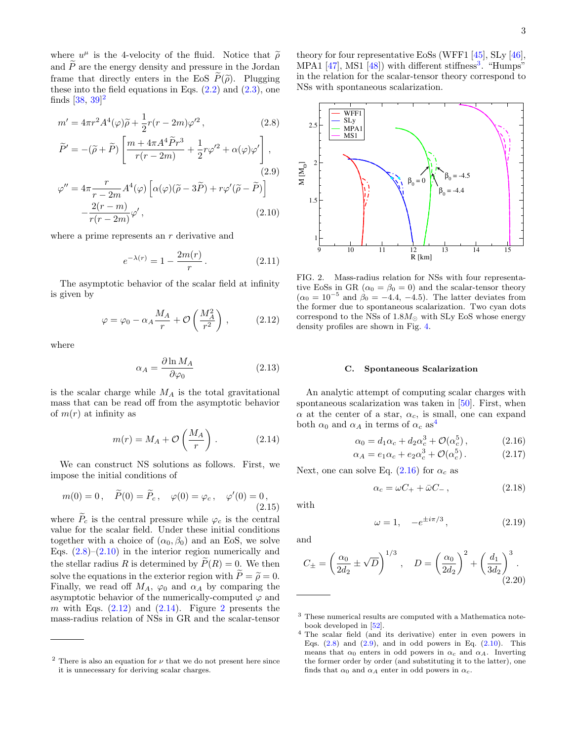where  $u^{\mu}$  is the 4-velocity of the fluid. Notice that  $\tilde{\rho}$ <br>and  $\tilde{P}$  are the energy density and pressure in the Jordan and  $\tilde{P}$  are the energy density and pressure in the Jordan frame that directly enters in the EoS  $\widetilde{P}(\widetilde{\rho})$ . Plugging these into the field equations in Eqs.  $(2.2)$  and  $(2.3)$ , one finds [ $38, 39$ ]<sup>[2](#page-2-0)</sup>

<span id="page-2-1"></span>
$$
m' = 4\pi r^2 A^4(\varphi)\tilde{\rho} + \frac{1}{2}r(r - 2m)\varphi'^2 ,
$$
 (2.8)

$$
\widetilde{P}' = -(\widetilde{\rho} + \widetilde{P}) \left[ \frac{m + 4\pi A^4 \widetilde{P} r^3}{r(r - 2m)} + \frac{1}{2} r \varphi'^2 + \alpha(\varphi) \varphi' \right],
$$
\n
$$
\varphi'' = 4\pi \frac{r}{r - 2m} A^4(\varphi) \left[ \alpha(\varphi)(\widetilde{\rho} - 3\widetilde{P}) + r \varphi'(\widetilde{\rho} - \widetilde{P}) \right]
$$
\n
$$
- \frac{2(r - m)}{r(r - 2m)} \varphi',
$$
\n(2.10)

where a prime represents an  $r$  derivative and

$$
e^{-\lambda(r)} = 1 - \frac{2m(r)}{r}.
$$
 (2.11)

The asymptotic behavior of the scalar field at infinity is given by

<span id="page-2-2"></span>
$$
\varphi = \varphi_0 - \alpha_A \frac{M_A}{r} + \mathcal{O}\left(\frac{M_A^2}{r^2}\right),\qquad(2.12)
$$

where

$$
\alpha_A = \frac{\partial \ln M_A}{\partial \varphi_0} \tag{2.13}
$$

is the scalar charge while  $M_A$  is the total gravitational mass that can be read off from the asymptotic behavior of  $m(r)$  at infinity as

<span id="page-2-3"></span>
$$
m(r) = M_A + \mathcal{O}\left(\frac{M_A}{r}\right). \tag{2.14}
$$

We can construct NS solutions as follows. First, we impose the initial conditions of

$$
m(0) = 0
$$
,  $\widetilde{P}(0) = \widetilde{P}_c$ ,  $\varphi(0) = \varphi_c$ ,  $\varphi'(0) = 0$ ,   
(2.15)

where  $\tilde{P}_c$  is the central pressure while  $\varphi_c$  is the central value for the scalar field. Under these initial conditions together with a choice of  $(\alpha_0, \beta_0)$  and an EoS, we solve Eqs.  $(2.8)$ – $(2.10)$  in the interior region numerically and the stellar radius R is determined by  $\tilde{P}(R) = 0$ . We then solve the equations in the exterior region with  $\tilde{P} = \tilde{\rho} = 0$ . Finally, we read off  $M_A$ ,  $\varphi_0$  and  $\alpha_A$  by comparing the asymptotic behavior of the numerically-computed  $\varphi$  and m with Eqs.  $(2.12)$  and  $(2.14)$ . Figure [2](#page-2-4) presents the mass-radius relation of NSs in GR and the scalar-tensor

theory for four representative EoSs (WFF1 [\[45\]](#page-11-10), SLy [\[46\]](#page-11-11), MPA1  $[47]$ , MS1  $[48]$ ) with different stiffness<sup>[3](#page-2-5)</sup>. "Humps" in the relation for the scalar-tensor theory correspond to NSs with spontaneous scalarization.



<span id="page-2-4"></span>FIG. 2. Mass-radius relation for NSs with four representative EoSs in GR ( $\alpha_0 = \beta_0 = 0$ ) and the scalar-tensor theory  $(\alpha_0 = 10^{-5}$  and  $\beta_0 = -4.4, -4.5)$ . The latter deviates from the former due to spontaneous scalarization. Two cyan dots correspond to the NSs of  $1.8M_{\odot}$  with SLy EoS whose energy density profiles are shown in Fig. [4.](#page-4-0)

#### <span id="page-2-9"></span>C. Spontaneous Scalarization

An analytic attempt of computing scalar charges with spontaneous scalarization was taken in [\[50\]](#page-11-16). First, when  $\alpha$  at the center of a star,  $\alpha_c$ , is small, one can expand both  $\alpha_0$  and  $\alpha_A$  in terms of  $\alpha_c$  as<sup>[4](#page-2-6)</sup>

<span id="page-2-7"></span>
$$
\alpha_0 = d_1 \alpha_c + d_2 \alpha_c^3 + \mathcal{O}(\alpha_c^5), \qquad (2.16)
$$

$$
\alpha_A = e_1 \alpha_c + e_2 \alpha_c^3 + \mathcal{O}(\alpha_c^5). \tag{2.17}
$$

Next, one can solve Eq.  $(2.16)$  for  $\alpha_c$  as

<span id="page-2-8"></span>
$$
\alpha_c = \omega C_+ + \bar{\omega} C_-\,,\tag{2.18}
$$

with

$$
\omega = 1, \quad -e^{\pm i\pi/3}, \tag{2.19}
$$

and

$$
C_{\pm} = \left(\frac{\alpha_0}{2d_2} \pm \sqrt{D}\right)^{1/3}, \quad D = \left(\frac{\alpha_0}{2d_2}\right)^2 + \left(\frac{d_1}{3d_2}\right)^3.
$$
\n(2.20)

<span id="page-2-0"></span><sup>&</sup>lt;sup>2</sup> There is also an equation for  $\nu$  that we do not present here since it is unnecessary for deriving scalar charges.

<span id="page-2-5"></span><sup>3</sup> These numerical results are computed with a Mathematica notebook developed in [\[52\]](#page-11-18).

<span id="page-2-6"></span><sup>4</sup> The scalar field (and its derivative) enter in even powers in Eqs.  $(2.8)$  and  $(2.9)$ , and in odd powers in Eq.  $(2.10)$ . This means that  $\alpha_0$  enters in odd powers in  $\alpha_c$  and  $\alpha_A$ . Inverting the former order by order (and substituting it to the latter), one finds that  $\alpha_0$  and  $\alpha_A$  enter in odd powers in  $\alpha_c$ .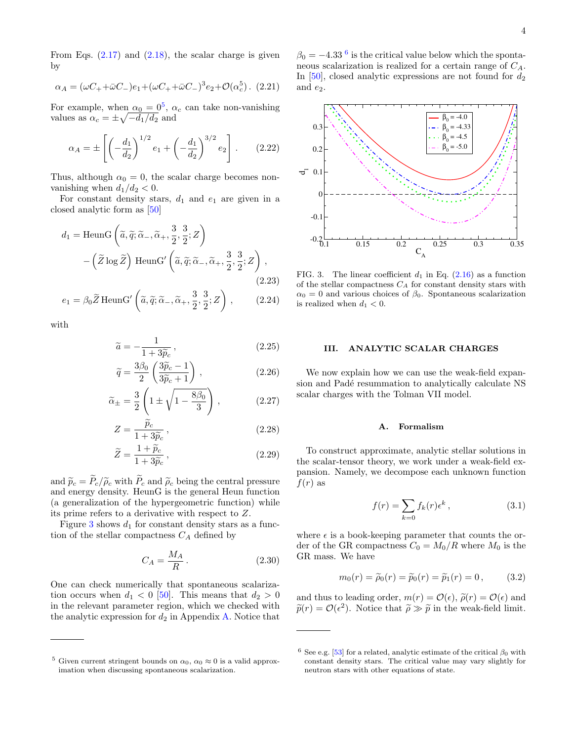From Eqs.  $(2.17)$  and  $(2.18)$ , the scalar charge is given by

$$
\alpha_A = (\omega C_+ + \bar{\omega} C_-)e_1 + (\omega C_+ + \bar{\omega} C_-)^3 e_2 + \mathcal{O}(\alpha_c^5). (2.21)
$$

For example, when  $\alpha_0 = 0^5$  $\alpha_0 = 0^5$ ,  $\alpha_c$  can take non-vanishing values as  $\alpha_c = \pm \sqrt{-d_1/d_2}$  and

<span id="page-3-5"></span>
$$
\alpha_A = \pm \left[ \left( -\frac{d_1}{d_2} \right)^{1/2} e_1 + \left( -\frac{d_1}{d_2} \right)^{3/2} e_2 \right].
$$
 (2.22)

Thus, although  $\alpha_0 = 0$ , the scalar charge becomes nonvanishing when  $d_1/d_2 < 0$ .

For constant density stars,  $d_1$  and  $e_1$  are given in a closed analytic form as [\[50\]](#page-11-16)

<span id="page-3-6"></span>
$$
d_1 = \text{HeunG}\left(\tilde{a}, \tilde{q}; \tilde{\alpha}_-, \tilde{\alpha}_+, \frac{3}{2}, \frac{3}{2}; Z\right) - \left(\tilde{Z} \log \tilde{Z}\right) \text{HeunG}'\left(\tilde{a}, \tilde{q}; \tilde{\alpha}_-, \tilde{\alpha}_+, \frac{3}{2}, \frac{3}{2}; Z\right),
$$
\n(2.23)

$$
e_1 = \beta_0 \widetilde{Z} \operatorname{HeunG}'\left(\widetilde{a}, \widetilde{q}; \widetilde{\alpha}_-, \widetilde{\alpha}_+, \frac{3}{2}, \frac{3}{2}; Z\right), \qquad (2.24)
$$

with

$$
\widetilde{a} = -\frac{1}{1 + 3\widetilde{p}_c},\tag{2.25}
$$

$$
\widetilde{q} = \frac{3\beta_0}{2} \left( \frac{3\widetilde{p}_c - 1}{3\widetilde{p}_c + 1} \right),\tag{2.26}
$$

$$
\widetilde{\alpha}_{\pm} = \frac{3}{2} \left( 1 \pm \sqrt{1 - \frac{8\beta_0}{3}} \right), \qquad (2.27)
$$

$$
Z = \frac{\tilde{p}_c}{1 + 3\tilde{p}_c},\tag{2.28}
$$

$$
\widetilde{Z} = \frac{1 + \widetilde{p}_c}{1 + 3\widetilde{p}_c},\tag{2.29}
$$

and  $\tilde{p}_c = \tilde{P}_c/\tilde{\rho}_c$  with  $\tilde{P}_c$  and  $\tilde{\rho}_c$  being the central pressure and energy density. HeunG is the general Heun function (a generalization of the hypergeometric function) while its prime refers to a derivative with respect to Z.

Figure [3](#page-3-2) shows  $d_1$  for constant density stars as a function of the stellar compactness  $C_A$  defined by

$$
C_A = \frac{M_A}{R} \,. \tag{2.30}
$$

One can check numerically that spontaneous scalarization occurs when  $d_1 < 0$  [\[50\]](#page-11-16). This means that  $d_2 > 0$ in the relevant parameter region, which we checked with the analytic expression for  $d_2$  in Appendix [A.](#page-8-1) Notice that

 $\beta_0 = -4.33$ <sup>[6](#page-3-3)</sup> is the critical value below which the spontaneous scalarization is realized for a certain range of  $C_A$ . In [\[50\]](#page-11-16), closed analytic expressions are not found for  $d_2$ and  $e_2$ .



<span id="page-3-2"></span>FIG. 3. The linear coefficient  $d_1$  in Eq. [\(2.16\)](#page-2-7) as a function of the stellar compactness  $C_A$  for constant density stars with  $\alpha_0 = 0$  and various choices of  $\beta_0$ . Spontaneous scalarization is realized when  $d_1 < 0$ .

## <span id="page-3-0"></span>III. ANALYTIC SCALAR CHARGES

We now explain how we can use the weak-field expansion and Padé resummation to analytically calculate NS scalar charges with the Tolman VII model.

#### A. Formalism

To construct approximate, analytic stellar solutions in the scalar-tensor theory, we work under a weak-field expansion. Namely, we decompose each unknown function  $f(r)$  as

<span id="page-3-4"></span>
$$
f(r) = \sum_{k=0} f_k(r) \epsilon^k, \qquad (3.1)
$$

where  $\epsilon$  is a book-keeping parameter that counts the order of the GR compactness  $C_0 = M_0/R$  where  $M_0$  is the GR mass. We have

$$
m_0(r) = \tilde{\rho}_0(r) = \tilde{p}_0(r) = \tilde{p}_1(r) = 0,
$$
 (3.2)

and thus to leading order,  $m(r) = \mathcal{O}(\epsilon)$ ,  $\tilde{\rho}(r) = \mathcal{O}(\epsilon)$  and  $\widetilde{p}(r) = \mathcal{O}(\epsilon^2)$ . Notice that  $\widetilde{\rho} \gg \widetilde{p}$  in the weak-field limit.

<span id="page-3-1"></span><sup>&</sup>lt;sup>5</sup> Given current stringent bounds on  $\alpha_0$ ,  $\alpha_0 \approx 0$  is a valid approximation when discussing spontaneous scalarization.

<span id="page-3-3"></span><sup>&</sup>lt;sup>6</sup> See e.g. [\[53\]](#page-11-19) for a related, analytic estimate of the critical  $\beta_0$  with constant density stars. The critical value may vary slightly for neutron stars with other equations of state.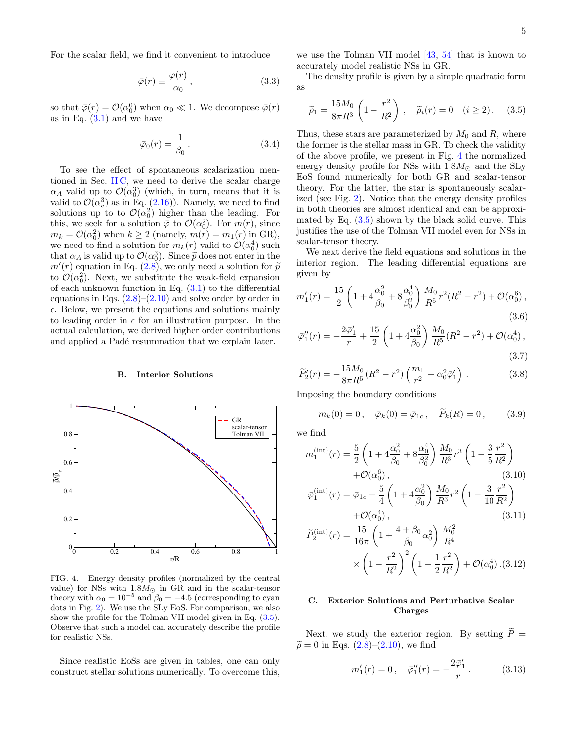For the scalar field, we find it convenient to introduce

$$
\bar{\varphi}(r) \equiv \frac{\varphi(r)}{\alpha_0},\qquad(3.3)
$$

so that  $\bar{\varphi}(r) = \mathcal{O}(\alpha_0^0)$  when  $\alpha_0 \ll 1$ . We decompose  $\bar{\varphi}(r)$ as in Eq.  $(3.1)$  and we have

$$
\bar{\varphi}_0(r) = \frac{1}{\beta_0} \,. \tag{3.4}
$$

To see the effect of spontaneous scalarization mentioned in Sec. [II C,](#page-2-9) we need to derive the scalar charge  $\alpha_A$  valid up to  $\mathcal{O}(\alpha_0^3)$  (which, in turn, means that it is valid to  $\mathcal{O}(\alpha_c^3)$  as in Eq. [\(2.16\)](#page-2-7)). Namely, we need to find solutions up to to  $\mathcal{O}(\alpha_0^2)$  higher than the leading. For this, we seek for a solution  $\bar{\varphi}$  to  $\mathcal{O}(\alpha_0^2)$ . For  $m(r)$ , since  $m_k = \mathcal{O}(\alpha_0^2)$  when  $k \ge 2$  (namely,  $m(r) = m_1(r)$  in GR), we need to find a solution for  $m_k(r)$  valid to  $\mathcal{O}(\alpha_0^4)$  such that  $\alpha_A$  is valid up to  $\mathcal{O}(\alpha_0^3)$ . Since  $\tilde{p}$  does not enter in the  $m'(r)$  equation in Eq. (2.8), we only need a solution for  $\tilde{p}$  $m'(r)$  equation in Eq. [\(2.8\)](#page-2-1), we only need a solution for  $\tilde{p}$ <br>to  $O(\alpha^2)$ . Next, we substitute the weak-field expansion to  $\mathcal{O}(\alpha_0^2)$ . Next, we substitute the weak-field expansion of each unknown function in Eq.  $(3.1)$  to the differential equations in Eqs.  $(2.8)$ – $(2.10)$  and solve order by order in  $\epsilon$ . Below, we present the equations and solutions mainly to leading order in  $\epsilon$  for an illustration purpose. In the actual calculation, we derived higher order contributions and applied a Padé resummation that we explain later.

#### B. Interior Solutions



<span id="page-4-0"></span>FIG. 4. Energy density profiles (normalized by the central value) for NSs with  $1.8M_{\odot}$  in GR and in the scalar-tensor theory with  $\alpha_0 = 10^{-5}$  and  $\beta_0 = -4.5$  (corresponding to cyan dots in Fig. [2\)](#page-2-4). We use the SLy EoS. For comparison, we also show the profile for the Tolman VII model given in Eq. [\(3.5\)](#page-4-1). Observe that such a model can accurately describe the profile for realistic NSs.

Since realistic EoSs are given in tables, one can only construct stellar solutions numerically. To overcome this,

we use the Tolman VII model [\[43,](#page-11-9) [54\]](#page-11-20) that is known to accurately model realistic NSs in GR.

The density profile is given by a simple quadratic form as

<span id="page-4-1"></span>
$$
\widetilde{\rho}_1 = \frac{15M_0}{8\pi R^3} \left( 1 - \frac{r^2}{R^2} \right), \quad \widetilde{\rho}_i(r) = 0 \quad (i \ge 2).
$$
\n(3.5)

Thus, these stars are parameterized by  $M_0$  and  $R$ , where the former is the stellar mass in GR. To check the validity of the above profile, we present in Fig. [4](#page-4-0) the normalized energy density profile for NSs with  $1.8M_{\odot}$  and the SLy EoS found numerically for both GR and scalar-tensor theory. For the latter, the star is spontaneously scalarized (see Fig. [2\)](#page-2-4). Notice that the energy density profiles in both theories are almost identical and can be approximated by Eq.  $(3.5)$  shown by the black solid curve. This justifies the use of the Tolman VII model even for NSs in scalar-tensor theory.

We next derive the field equations and solutions in the interior region. The leading differential equations are given by

$$
m_1'(r) = \frac{15}{2} \left( 1 + 4 \frac{\alpha_0^2}{\beta_0} + 8 \frac{\alpha_0^4}{\beta_0^2} \right) \frac{M_0}{R^5} r^2 (R^2 - r^2) + \mathcal{O}(\alpha_0^6),
$$
\n(3.6)

$$
\bar{\varphi}_1''(r) = -\frac{2\bar{\varphi}_1'}{r} + \frac{15}{2} \left( 1 + 4\frac{\alpha_0^2}{\beta_0} \right) \frac{M_0}{R^5} (R^2 - r^2) + \mathcal{O}(\alpha_0^4),\tag{3.7}
$$

$$
\widetilde{P}'_2(r) = -\frac{15M_0}{8\pi R^5} (R^2 - r^2) \left(\frac{m_1}{r^2} + \alpha_0^2 \bar{\varphi}'_1\right) . \tag{3.8}
$$

Imposing the boundary conditions

<span id="page-4-2"></span>
$$
m_k(0) = 0
$$
,  $\bar{\varphi}_k(0) = \bar{\varphi}_{1c}$ ,  $\tilde{P}_k(R) = 0$ , (3.9)

we find

$$
m_1^{(\text{int})}(r) = \frac{5}{2} \left( 1 + 4 \frac{\alpha_0^2}{\beta_0} + 8 \frac{\alpha_0^4}{\beta_0^2} \right) \frac{M_0}{R^3} r^3 \left( 1 - \frac{3 r^2}{5 R^2} \right) + \mathcal{O}(\alpha_0^6),
$$
\n(3.10)\n
$$
\bar{\varphi}_1^{(\text{int})}(r) = \bar{\varphi}_{1c} + \frac{5}{4} \left( 1 + 4 \frac{\alpha_0^2}{\beta_0} \right) \frac{M_0}{R^3} r^2 \left( 1 - \frac{3 r^2}{10 R^2} \right) + \mathcal{O}(\alpha_0^4),
$$
\n(3.11)

$$
\widetilde{P}_2^{(\text{int})}(r) = \frac{15}{16\pi} \left( 1 + \frac{4 + \beta_0}{\beta_0} \alpha_0^2 \right) \frac{M_0^2}{R^4} \times \left( 1 - \frac{r^2}{R^2} \right)^2 \left( 1 - \frac{1}{2} \frac{r^2}{R^2} \right) + \mathcal{O}(\alpha_0^4) \, . (3.12)
$$

## C. Exterior Solutions and Perturbative Scalar Charges

Next, we study the exterior region. By setting  $\tilde{P}$  =  $\widetilde{\rho} = 0$  in Eqs. [\(2.8\)](#page-2-1)–[\(2.10\)](#page-2-1), we find

$$
m'_1(r) = 0
$$
,  $\bar{\varphi}_1''(r) = -\frac{2\bar{\varphi}_1'}{r}$ . (3.13)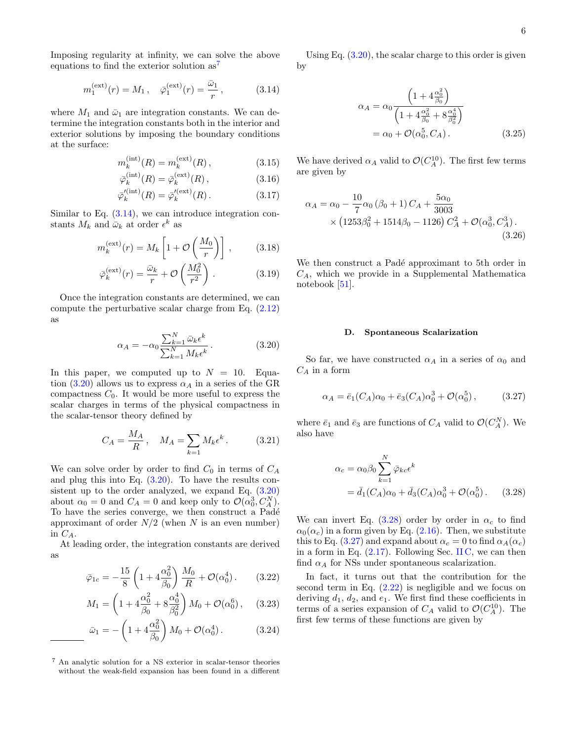Imposing regularity at infinity, we can solve the above equations to find the exterior solution  $as^7$  $as^7$ 

<span id="page-5-1"></span>
$$
m_1^{\text{(ext)}}(r) = M_1, \quad \bar{\varphi}_1^{\text{(ext)}}(r) = \frac{\bar{\omega}_1}{r},
$$
 (3.14)

where  $M_1$  and  $\bar{\omega}_1$  are integration constants. We can determine the integration constants both in the interior and exterior solutions by imposing the boundary conditions at the surface:

$$
m_k^{(\text{int})}(R) = m_k^{(\text{ext})}(R) ,\qquad (3.15)
$$

$$
\bar{\varphi}_k^{\text{(int)}}(R) = \bar{\varphi}_k^{\text{(ext)}}(R) \,, \tag{3.16}
$$

$$
\bar{\varphi}'^{(\text{int})}_k(R) = \bar{\varphi}'^{(\text{ext})}_k(R). \tag{3.17}
$$

Similar to Eq.  $(3.14)$ , we can introduce integration constants  $M_k$  and  $\bar{\omega}_k$  at order  $\epsilon^k$  as

$$
m_k^{(\text{ext})}(r) = M_k \left[ 1 + \mathcal{O}\left(\frac{M_0}{r}\right) \right],\tag{3.18}
$$

$$
\bar{\varphi}_k^{(\text{ext})}(r) = \frac{\bar{\omega}_k}{r} + \mathcal{O}\left(\frac{M_0^2}{r^2}\right). \tag{3.19}
$$

Once the integration constants are determined, we can compute the perturbative scalar charge from Eq. [\(2.12\)](#page-2-2) as

<span id="page-5-2"></span>
$$
\alpha_A = -\alpha_0 \frac{\sum_{k=1}^N \bar{\omega}_k \epsilon^k}{\sum_{k=1}^N M_k \epsilon^k} \,. \tag{3.20}
$$

In this paper, we computed up to  $N = 10$ . Equa-tion [\(3.20\)](#page-5-2) allows us to express  $\alpha_A$  in a series of the GR compactness  $C_0$ . It would be more useful to express the scalar charges in terms of the physical compactness in the scalar-tensor theory defined by

$$
C_A = \frac{M_A}{R}, \quad M_A = \sum_{k=1} M_k \epsilon^k. \tag{3.21}
$$

We can solve order by order to find  $C_0$  in terms of  $C_A$ and plug this into Eq. [\(3.20\)](#page-5-2). To have the results consistent up to the order analyzed, we expand Eq. [\(3.20\)](#page-5-2) about  $\alpha_0 = 0$  and  $C_A = 0$  and keep only to  $\mathcal{O}(\alpha_0^3, C_A^N)$ . To have the series converge, we then construct a Padé approximant of order  $N/2$  (when N is an even number) in  $C_A$ .

At leading order, the integration constants are derived as

<span id="page-5-5"></span>
$$
\bar{\varphi}_{1c} = -\frac{15}{8} \left( 1 + 4 \frac{\alpha_0^2}{\beta_0} \right) \frac{M_0}{R} + \mathcal{O}(\alpha_0^4). \tag{3.22}
$$

$$
M_1 = \left(1 + 4\frac{\alpha_0^2}{\beta_0} + 8\frac{\alpha_0^4}{\beta_0^2}\right)M_0 + \mathcal{O}(\alpha_0^6), \quad (3.23)
$$

$$
\bar{\omega}_1 = -\left(1 + 4\frac{\alpha_0^2}{\beta_0}\right)M_0 + \mathcal{O}(\alpha_0^4). \tag{3.24}
$$

Using Eq.  $(3.20)$ , the scalar charge to this order is given by

<span id="page-5-6"></span>
$$
\alpha_A = \alpha_0 \frac{\left(1 + 4\frac{\alpha_0^2}{\beta_0}\right)}{\left(1 + 4\frac{\alpha_0^2}{\beta_0} + 8\frac{\alpha_0^4}{\beta_0^2}\right)}
$$
  
=  $\alpha_0 + \mathcal{O}(\alpha_0^5, C_A).$  (3.25)

We have derived  $\alpha_A$  valid to  $\mathcal{O}(C_A^{10})$ . The first few terms are given by

$$
\alpha_A = \alpha_0 - \frac{10}{7} \alpha_0 \left( \beta_0 + 1 \right) C_A + \frac{5\alpha_0}{3003} \times \left( 1253\beta_0^2 + 1514\beta_0 - 1126 \right) C_A^2 + \mathcal{O}(\alpha_0^3, C_A^3). \tag{3.26}
$$

We then construct a Padé approximant to 5th order in  $C_A$ , which we provide in a Supplemental Mathematica notebook [\[51\]](#page-11-17).

#### D. Spontaneous Scalarization

So far, we have constructed  $\alpha_A$  in a series of  $\alpha_0$  and  $C_A$  in a form

<span id="page-5-4"></span>
$$
\alpha_A = \bar{e}_1(C_A)\alpha_0 + \bar{e}_3(C_A)\alpha_0^3 + \mathcal{O}(\alpha_0^5), \quad (3.27)
$$

where  $\bar{e}_1$  and  $\bar{e}_3$  are functions of  $C_A$  valid to  $\mathcal{O}(C_A^N)$ . We also have

<span id="page-5-3"></span>
$$
\alpha_c = \alpha_0 \beta_0 \sum_{k=1}^N \overline{\varphi}_{kc} \epsilon^k
$$
  
=  $\overline{d}_1(C_A)\alpha_0 + \overline{d}_3(C_A)\alpha_0^3 + \mathcal{O}(\alpha_0^5)$ . (3.28)

We can invert Eq.  $(3.28)$  order by order in  $\alpha_c$  to find  $\alpha_0(\alpha_c)$  in a form given by Eq. [\(2.16\)](#page-2-7). Then, we substitute this to Eq. [\(3.27\)](#page-5-4) and expand about  $\alpha_c = 0$  to find  $\alpha_A(\alpha_c)$ in a form in Eq.  $(2.17)$ . Following Sec. [II C,](#page-2-9) we can then find  $\alpha_A$  for NSs under spontaneous scalarization.

In fact, it turns out that the contribution for the second term in Eq.  $(2.22)$  is negligible and we focus on deriving  $d_1$ ,  $d_2$ , and  $e_1$ . We first find these coefficients in terms of a series expansion of  $C_A$  valid to  $\mathcal{O}(C_A^{10})$ . The first few terms of these functions are given by

<span id="page-5-0"></span><sup>7</sup> An analytic solution for a NS exterior in scalar-tensor theories without the weak-field expansion has been found in a different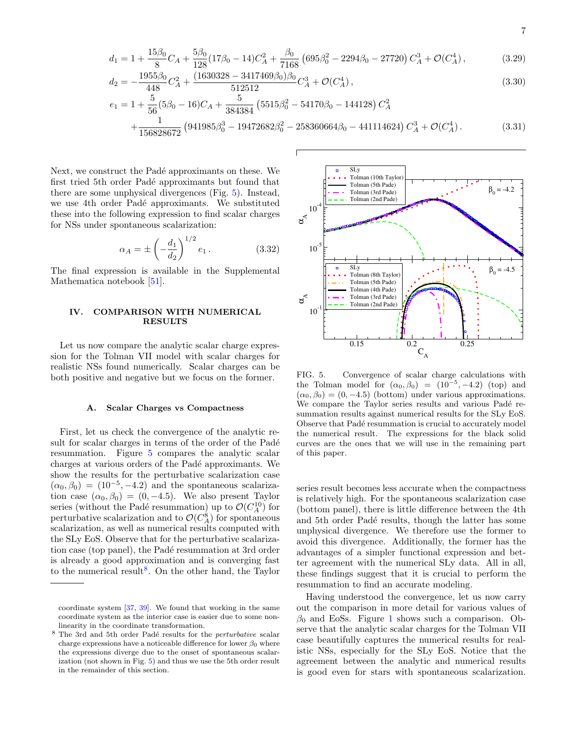$$
7\,
$$

$$
d_1 = 1 + \frac{15\beta_0}{8}C_A + \frac{5\beta_0}{128}(17\beta_0 - 14)C_A^2 + \frac{\beta_0}{7168}(695\beta_0^2 - 2294\beta_0 - 27720)C_A^3 + \mathcal{O}(C_A^4),\tag{3.29}
$$

$$
d_2 = -\frac{1955\beta_0}{448}C_A^2 + \frac{(1630328 - 3417469\beta_0)\beta_0}{512512}C_A^3 + \mathcal{O}(C_A^4),\tag{3.30}
$$

$$
e_1 = 1 + \frac{5}{56}(5\beta_0 - 16)C_A + \frac{5}{384384}(5515\beta_0^2 - 54170\beta_0 - 144128)C_A^2
$$
  
 
$$
+ \frac{1}{156828672}(941985\beta_0^3 - 19472682\beta_0^2 - 258360664\beta_0 - 441114624)C_A^3 + \mathcal{O}(C_A^4). \tag{3.31}
$$

Next, we construct the Padé approximants on these. We first tried 5th order Padé approximants but found that there are some unphysical divergences (Fig. [5\)](#page-6-1). Instead, we use 4th order Padé approximants. We substituted these into the following expression to find scalar charges for NSs under spontaneous scalarization:

<span id="page-6-3"></span>
$$
\alpha_A = \pm \left( -\frac{d_1}{d_2} \right)^{1/2} e_1 . \tag{3.32}
$$

The final expression is available in the Supplemental Mathematica notebook [\[51\]](#page-11-17).

## <span id="page-6-0"></span>IV. COMPARISON WITH NUMERICAL **RESULTS**

Let us now compare the analytic scalar charge expression for the Tolman VII model with scalar charges for realistic NSs found numerically. Scalar charges can be both positive and negative but we focus on the former.

#### A. Scalar Charges vs Compactness

First, let us check the convergence of the analytic result for scalar charges in terms of the order of the Padé resummation. Figure [5](#page-6-1) compares the analytic scalar charges at various orders of the Padé approximants. We show the results for the perturbative scalarization case  $(\alpha_0, \beta_0) = (10^{-5}, -4.2)$  and the spontaneous scalarization case  $(\alpha_0, \beta_0) = (0, -4.5)$ . We also present Taylor series (without the Padé resummation) up to  $\mathcal{O}(C_A^{10})$  for perturbative scalarization and to  $\mathcal{O}(C_A^8)$  for spontaneous scalarization, as well as numerical results computed with the SLy EoS. Observe that for the perturbative scalarization case (top panel), the Padé resummation at 3rd order is already a good approximation and is converging fast to the numerical result<sup>[8](#page-6-2)</sup>. On the other hand, the Taylor



<span id="page-6-1"></span>FIG. 5. Convergence of scalar charge calculations with the Tolman model for  $(\alpha_0, \beta_0) = (10^{-5}, -4.2)$  (top) and  $(\alpha_0, \beta_0) = (0, -4.5)$  (bottom) under various approximations. We compare the Taylor series results and various Padé resummation results against numerical results for the SLy EoS. Observe that Padé resummation is crucial to accurately model the numerical result. The expressions for the black solid curves are the ones that we will use in the remaining part of this paper.

series result becomes less accurate when the compactness is relatively high. For the spontaneous scalarization case (bottom panel), there is little difference between the 4th and 5th order Padé results, though the latter has some unphysical divergence. We therefore use the former to avoid this divergence. Additionally, the former has the advantages of a simpler functional expression and better agreement with the numerical SLy data. All in all, these findings suggest that it is crucial to perform the resummation to find an accurate modeling.

Having understood the convergence, let us now carry out the comparison in more detail for various values of  $\beta_0$  and EoSs. Figure [1](#page-1-0) shows such a comparison. Observe that the analytic scalar charges for the Tolman VII case beautifully captures the numerical results for realistic NSs, especially for the SLy EoS. Notice that the agreement between the analytic and numerical results is good even for stars with spontaneous scalarization.

coordinate system [\[37,](#page-11-2) [39\]](#page-11-3). We found that working in the same coordinate system as the interior case is easier due to some nonlinearity in the coordinate transformation.

<span id="page-6-2"></span> $8$  The 3rd and 5th order Padé results for the *perturbative* scalar charge expressions have a noticeable difference for lower  $\beta_0$  where the expressions diverge due to the onset of spontaneous scalarization (not shown in Fig. [5\)](#page-6-1) and thus we use the 5th order result in the remainder of this section.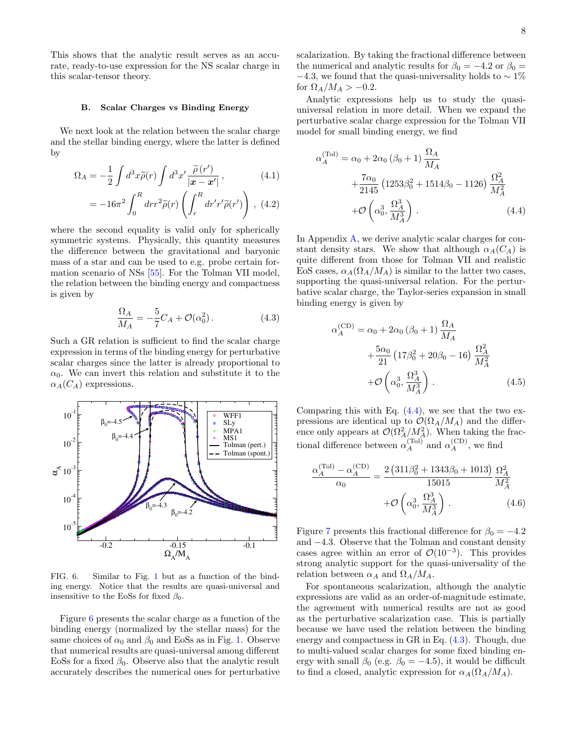This shows that the analytic result serves as an accurate, ready-to-use expression for the NS scalar charge in this scalar-tensor theory.

#### B. Scalar Charges vs Binding Energy

We next look at the relation between the scalar charge and the stellar binding energy, where the latter is defined by

$$
\Omega_A = -\frac{1}{2} \int d^3x \tilde{\rho}(r) \int d^3x' \frac{\tilde{\rho}(r')}{|\mathbf{x} - \mathbf{x}'|}, \qquad (4.1)
$$

$$
= -16\pi^2 \int_0^R dr r^2 \tilde{\rho}(r) \left( \int_r^R dr' r' \tilde{\rho}(r') \right), \ (4.2)
$$

where the second equality is valid only for spherically symmetric systems. Physically, this quantity measures the difference between the gravitational and baryonic mass of a star and can be used to e.g. probe certain formation scenario of NSs [\[55\]](#page-11-21). For the Tolman VII model, the relation between the binding energy and compactness is given by

<span id="page-7-2"></span>
$$
\frac{\Omega_A}{M_A} = -\frac{5}{7}C_A + \mathcal{O}(\alpha_0^2). \tag{4.3}
$$

Such a GR relation is sufficient to find the scalar charge expression in terms of the binding energy for perturbative scalar charges since the latter is already proportional to  $\alpha_0$ . We can invert this relation and substitute it to the  $\alpha_A(C_A)$  expressions.



<span id="page-7-0"></span>FIG. 6. Similar to Fig. [1](#page-1-0) but as a function of the binding energy. Notice that the results are quasi-universal and insensitive to the EoSs for fixed  $\beta_0$ .

Figure [6](#page-7-0) presents the scalar charge as a function of the binding energy (normalized by the stellar mass) for the same choices of  $\alpha_0$  and  $\beta_0$  and EoSs as in Fig. [1.](#page-1-0) Observe that numerical results are quasi-universal among different EoSs for a fixed  $\beta_0$ . Observe also that the analytic result accurately describes the numerical ones for perturbative

scalarization. By taking the fractional difference between the numerical and analytic results for  $\beta_0 = -4.2$  or  $\beta_0 =$  $-4.3$ , we found that the quasi-universality holds to  $\sim 1\%$ for  $\Omega_A/M_A > -0.2$ .

Analytic expressions help us to study the quasiuniversal relation in more detail. When we expand the perturbative scalar charge expression for the Tolman VII model for small binding energy, we find

<span id="page-7-1"></span>
$$
\alpha_A^{(\text{Tol})} = \alpha_0 + 2\alpha_0 (\beta_0 + 1) \frac{\Omega_A}{M_A} + \frac{7\alpha_0}{2145} (1253\beta_0^2 + 1514\beta_0 - 1126) \frac{\Omega_A^2}{M_A^2} + \mathcal{O}\left(\alpha_0^3, \frac{\Omega_A^3}{M_A^3}\right).
$$
 (4.4)

In Appendix [A,](#page-8-1) we derive analytic scalar charges for constant density stars. We show that although  $\alpha_A(C_A)$  is quite different from those for Tolman VII and realistic EoS cases,  $\alpha_A(\Omega_A/M_A)$  is similar to the latter two cases, supporting the quasi-universal relation. For the perturbative scalar charge, the Taylor-series expansion in small binding energy is given by

$$
\alpha_A^{(\text{CD})} = \alpha_0 + 2\alpha_0 (\beta_0 + 1) \frac{\Omega_A}{M_A} + \frac{5\alpha_0}{21} (17\beta_0^2 + 20\beta_0 - 16) \frac{\Omega_A^2}{M_A^2} + \mathcal{O}\left(\alpha_0^3, \frac{\Omega_A^3}{M_A^3}\right).
$$
 (4.5)

Comparing this with Eq.  $(4.4)$ , we see that the two expressions are identical up to  $\mathcal{O}(\Omega_A/M_A)$  and the difference only appears at  $\mathcal{O}(\Omega_A^2/M_A^2)$ . When taking the fractional difference between  $\alpha_A^{(\text{Tol})}$  and  $\alpha_A^{(\text{CD})}$ , we find

<span id="page-7-3"></span>
$$
\frac{\alpha_A^{(\text{To})} - \alpha_A^{(\text{CD})}}{\alpha_0} = \frac{2 (311\beta_0^2 + 1343\beta_0 + 1013)}{15015} \frac{\Omega_A^2}{M_A^2} + \mathcal{O}\left(\alpha_0^3, \frac{\Omega_A^3}{M_A^3}\right).
$$
\n(4.6)

Figure [7](#page-8-2) presents this fractional difference for  $\beta_0 = -4.2$ and −4.3. Observe that the Tolman and constant density cases agree within an error of  $\mathcal{O}(10^{-3})$ . This provides strong analytic support for the quasi-universality of the relation between  $\alpha_A$  and  $\Omega_A/M_A$ .

For spontaneous scalarization, although the analytic expressions are valid as an order-of-magnitude estimate, the agreement with numerical results are not as good as the perturbative scalarization case. This is partially because we have used the relation between the binding energy and compactness in GR in Eq. [\(4.3\)](#page-7-2). Though, due to multi-valued scalar charges for some fixed binding energy with small  $\beta_0$  (e.g.  $\beta_0 = -4.5$ ), it would be difficult to find a closed, analytic expression for  $\alpha_A(\Omega_A/M_A)$ .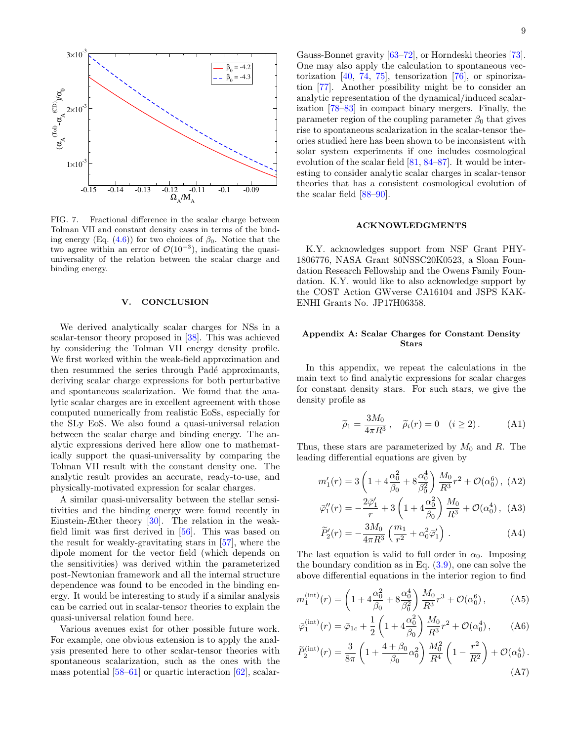

<span id="page-8-2"></span>FIG. 7. Fractional difference in the scalar charge between Tolman VII and constant density cases in terms of the binding energy (Eq.  $(4.6)$ ) for two choices of  $\beta_0$ . Notice that the two agree within an error of  $\mathcal{O}(10^{-3})$ , indicating the quasiuniversality of the relation between the scalar charge and binding energy.

## <span id="page-8-0"></span>V. CONCLUSION

We derived analytically scalar charges for NSs in a scalar-tensor theory proposed in [\[38\]](#page-11-8). This was achieved by considering the Tolman VII energy density profile. We first worked within the weak-field approximation and then resummed the series through Padé approximants, deriving scalar charge expressions for both perturbative and spontaneous scalarization. We found that the analytic scalar charges are in excellent agreement with those computed numerically from realistic EoSs, especially for the SLy EoS. We also found a quasi-universal relation between the scalar charge and binding energy. The analytic expressions derived here allow one to mathematically support the quasi-universality by comparing the Tolman VII result with the constant density one. The analytic result provides an accurate, ready-to-use, and physically-motivated expression for scalar charges.

A similar quasi-universality between the stellar sensitivities and the binding energy were found recently in Einstein-Æther theory [\[30\]](#page-10-7). The relation in the weakfield limit was first derived in [\[56\]](#page-11-22). This was based on the result for weakly-gravitating stars in [\[57\]](#page-11-23), where the dipole moment for the vector field (which depends on the sensitivities) was derived within the parameterized post-Newtonian framework and all the internal structure dependence was found to be encoded in the binding energy. It would be interesting to study if a similar analysis can be carried out in scalar-tensor theories to explain the quasi-universal relation found here.

Various avenues exist for other possible future work. For example, one obvious extension is to apply the analysis presented here to other scalar-tensor theories with spontaneous scalarization, such as the ones with the mass potential  $[58–61]$  $[58–61]$  or quartic interaction  $[62]$ , scalar-

Gauss-Bonnet gravity [\[63](#page-11-27)[–72\]](#page-12-0), or Horndeski theories [\[73\]](#page-12-1). One may also apply the calculation to spontaneous vectorization [\[40,](#page-11-4) [74,](#page-12-2) [75\]](#page-12-3), tensorization [\[76\]](#page-12-4), or spinorization [\[77\]](#page-12-5). Another possibility might be to consider an analytic representation of the dynamical/induced scalarization [\[78–](#page-12-6)[83\]](#page-12-7) in compact binary mergers. Finally, the parameter region of the coupling parameter  $\beta_0$  that gives rise to spontaneous scalarization in the scalar-tensor theories studied here has been shown to be inconsistent with solar system experiments if one includes cosmological evolution of the scalar field [\[81,](#page-12-8) [84–](#page-12-9)[87\]](#page-12-10). It would be interesting to consider analytic scalar charges in scalar-tensor theories that has a consistent cosmological evolution of the scalar field [\[88–](#page-12-11)[90\]](#page-12-12).

## ACKNOWLEDGMENTS

K.Y. acknowledges support from NSF Grant PHY-1806776, NASA Grant 80NSSC20K0523, a Sloan Foundation Research Fellowship and the Owens Family Foundation. K.Y. would like to also acknowledge support by the COST Action GWverse CA16104 and JSPS KAK-ENHI Grants No. JP17H06358.

## <span id="page-8-1"></span>Appendix A: Scalar Charges for Constant Density Stars

In this appendix, we repeat the calculations in the main text to find analytic expressions for scalar charges for constant density stars. For such stars, we give the density profile as

$$
\widetilde{\rho}_1 = \frac{3M_0}{4\pi R^3}, \quad \widetilde{\rho}_i(r) = 0 \quad (i \ge 2).
$$
 (A1)

Thus, these stars are parameterized by  $M_0$  and R. The leading differential equations are given by

 $\boldsymbol{\eta}$ 

ϕ¯

$$
n_1'(r) = 3\left(1 + 4\frac{\alpha_0^2}{\beta_0} + 8\frac{\alpha_0^4}{\beta_0^2}\right)\frac{M_0}{R^3}r^2 + \mathcal{O}(\alpha_0^6), \text{ (A2)}
$$

$$
\bar{\rho}_1''(r) = -\frac{2\bar{\varphi}_1'}{r} + 3\left(1 + 4\frac{\alpha_0^2}{\beta_0}\right)\frac{M_0}{R^3} + \mathcal{O}(\alpha_0^4), \tag{A3}
$$

$$
\widetilde{P}'_2(r) = -\frac{3M_0}{4\pi R^3} \left( \frac{m_1}{r^2} + \alpha_0^2 \bar{\varphi}'_1 \right) . \tag{A4}
$$

The last equation is valid to full order in  $\alpha_0$ . Imposing the boundary condition as in Eq.  $(3.9)$ , one can solve the above differential equations in the interior region to find

$$
m_1^{(\text{int})}(r) = \left(1 + 4\frac{\alpha_0^2}{\beta_0} + 8\frac{\alpha_0^4}{\beta_0^2}\right) \frac{M_0}{R^3} r^3 + \mathcal{O}(\alpha_0^6),\tag{A5}
$$

$$
\bar{\varphi}_1^{(\text{int})}(r) = \bar{\varphi}_{1c} + \frac{1}{2} \left( 1 + 4 \frac{\alpha_0^2}{\beta_0} \right) \frac{M_0}{R^3} r^2 + \mathcal{O}(\alpha_0^4) ,\qquad (A6)
$$

$$
\widetilde{P}_2^{(\text{int})}(r) = \frac{3}{8\pi} \left( 1 + \frac{4+\beta_0}{\beta_0} \alpha_0^2 \right) \frac{M_0^2}{R^4} \left( 1 - \frac{r^2}{R^2} \right) + \mathcal{O}(\alpha_0^4) \,. \tag{A7}
$$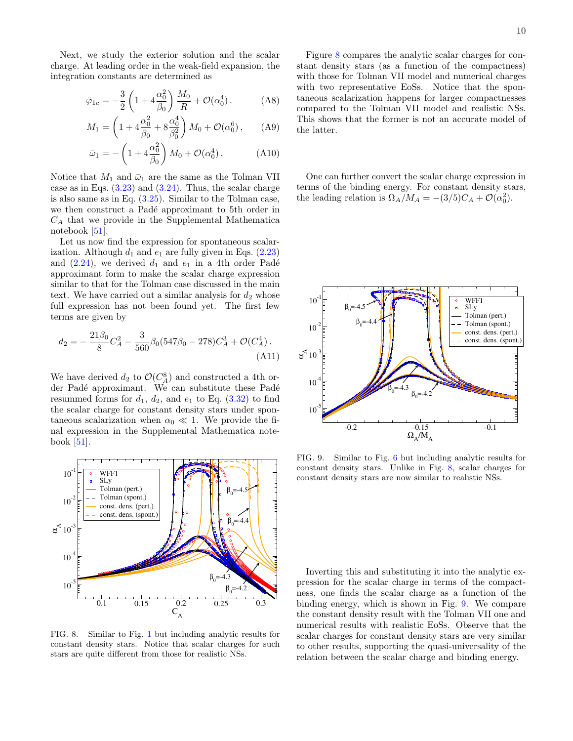Next, we study the exterior solution and the scalar charge. At leading order in the weak-field expansion, the integration constants are determined as

$$
\bar{\varphi}_{1c} = -\frac{3}{2} \left( 1 + 4 \frac{\alpha_0^2}{\beta_0} \right) \frac{M_0}{R} + \mathcal{O}(\alpha_0^4). \tag{A8}
$$

$$
M_1 = \left(1 + 4\frac{\alpha_0^2}{\beta_0} + 8\frac{\alpha_0^4}{\beta_0^2}\right)M_0 + \mathcal{O}(\alpha_0^6), \quad (A9)
$$

$$
\bar{\omega}_1 = -\left(1 + 4\frac{\alpha_0^2}{\beta_0}\right)M_0 + \mathcal{O}(\alpha_0^4). \tag{A10}
$$

Notice that  $M_1$  and  $\bar{\omega}_1$  are the same as the Tolman VII case as in Eqs.  $(3.23)$  and  $(3.24)$ . Thus, the scalar charge is also same as in Eq. [\(3.25\)](#page-5-6). Similar to the Tolman case, we then construct a Padé approximant to 5th order in  $C_A$  that we provide in the Supplemental Mathematica notebook [\[51\]](#page-11-17).

Let us now find the expression for spontaneous scalarization. Although  $d_1$  and  $e_1$  are fully given in Eqs. [\(2.23\)](#page-3-6) and  $(2.24)$ , we derived  $d_1$  and  $e_1$  in a 4th order Padé approximant form to make the scalar charge expression similar to that for the Tolman case discussed in the main text. We have carried out a similar analysis for  $d_2$  whose full expression has not been found yet. The first few terms are given by

$$
d_2 = -\frac{21\beta_0}{8}C_A^2 - \frac{3}{560}\beta_0(547\beta_0 - 278)C_A^3 + \mathcal{O}(C_A^4). \tag{A11}
$$

We have derived  $d_2$  to  $\mathcal{O}(C_A^8)$  and constructed a 4th order Padé approximant. We can substitute these Padé resummed forms for  $d_1$ ,  $d_2$ , and  $e_1$  to Eq. [\(3.32\)](#page-6-3) to find the scalar charge for constant density stars under spontaneous scalarization when  $\alpha_0 \ll 1$ . We provide the final expression in the Supplemental Mathematica notebook [\[51\]](#page-11-17).



<span id="page-9-0"></span>FIG. 8. Similar to Fig. [1](#page-1-0) but including analytic results for constant density stars. Notice that scalar charges for such stars are quite different from those for realistic NSs.

Figure [8](#page-9-0) compares the analytic scalar charges for constant density stars (as a function of the compactness) with those for Tolman VII model and numerical charges with two representative EoSs. Notice that the spontaneous scalarization happens for larger compactnesses compared to the Tolman VII model and realistic NSs. This shows that the former is not an accurate model of the latter.

One can further convert the scalar charge expression in terms of the binding energy. For constant density stars, the leading relation is  $\Omega_A/M_A = -(3/5)C_A + \mathcal{O}(\alpha_0^2)$ .



<span id="page-9-1"></span>FIG. 9. Similar to Fig. [6](#page-7-0) but including analytic results for constant density stars. Unlike in Fig. [8,](#page-9-0) scalar charges for constant density stars are now similar to realistic NSs.

Inverting this and substituting it into the analytic expression for the scalar charge in terms of the compactness, one finds the scalar charge as a function of the binding energy, which is shown in Fig. [9.](#page-9-1) We compare the constant density result with the Tolman VII one and numerical results with realistic EoSs. Observe that the scalar charges for constant density stars are very similar to other results, supporting the quasi-universality of the relation between the scalar charge and binding energy.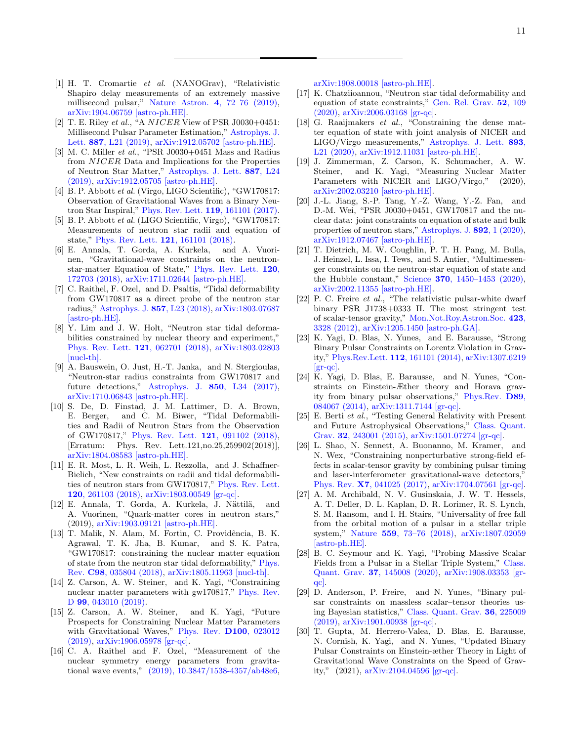- <span id="page-10-0"></span>[1] H. T. Cromartie et al. (NANOGrav), "Relativistic Shapiro delay measurements of an extremely massive millisecond pulsar," Nature Astron. 4[, 72–76 \(2019\),](http://dx.doi.org/ 10.1038/s41550-019-0880-2) [arXiv:1904.06759 \[astro-ph.HE\].](http://arxiv.org/abs/1904.06759)
- <span id="page-10-1"></span>[2] T. E. Riley et al., "A  $NICER$  View of PSR J0030+0451: Millisecond Pulsar Parameter Estimation," [Astrophys. J.](http://dx.doi.org/10.3847/2041-8213/ab481c) Lett. 887[, L21 \(2019\),](http://dx.doi.org/10.3847/2041-8213/ab481c) [arXiv:1912.05702 \[astro-ph.HE\].](http://arxiv.org/abs/1912.05702)
- <span id="page-10-2"></span>[3] M. C. Miller et al., "PSR J0030+0451 Mass and Radius from NICER Data and Implications for the Properties of Neutron Star Matter," [Astrophys. J. Lett.](http://dx.doi.org/ 10.3847/2041-8213/ab50c5) 887, L24 [\(2019\),](http://dx.doi.org/ 10.3847/2041-8213/ab50c5) [arXiv:1912.05705 \[astro-ph.HE\].](http://arxiv.org/abs/1912.05705)
- <span id="page-10-3"></span>[4] B. P. Abbott et al. (Virgo, LIGO Scientific), "GW170817: Observation of Gravitational Waves from a Binary Neutron Star Inspiral," [Phys. Rev. Lett.](http://dx.doi.org/10.1103/PhysRevLett.119.161101) 119, 161101 (2017).
- <span id="page-10-4"></span>[5] B. P. Abbott et al. (LIGO Scientific, Virgo), "GW170817: Measurements of neutron star radii and equation of state," [Phys. Rev. Lett.](http://dx.doi.org/10.1103/PhysRevLett.121.161101) 121, 161101 (2018).
- [6] E. Annala, T. Gorda, A. Kurkela, and A. Vuorinen, "Gravitational-wave constraints on the neutronstar-matter Equation of State," [Phys. Rev. Lett.](http://dx.doi.org/ 10.1103/PhysRevLett.120.172703) 120, [172703 \(2018\),](http://dx.doi.org/ 10.1103/PhysRevLett.120.172703) [arXiv:1711.02644 \[astro-ph.HE\].](http://arxiv.org/abs/1711.02644)
- [7] C. Raithel, F. Ozel, and D. Psaltis, "Tidal deformability from GW170817 as a direct probe of the neutron star radius," [Astrophys. J.](http://dx.doi.org/ 10.3847/2041-8213/aabcbf) 857, L23 (2018), [arXiv:1803.07687](http://arxiv.org/abs/1803.07687) [\[astro-ph.HE\].](http://arxiv.org/abs/1803.07687)
- [8] Y. Lim and J. W. Holt, "Neutron star tidal deformabilities constrained by nuclear theory and experiment," [Phys. Rev. Lett.](http://dx.doi.org/10.1103/PhysRevLett.121.062701) 121, 062701 (2018), [arXiv:1803.02803](http://arxiv.org/abs/1803.02803) [\[nucl-th\].](http://arxiv.org/abs/1803.02803)
- [9] A. Bauswein, O. Just, H.-T. Janka, and N. Stergioulas, "Neutron-star radius constraints from GW170817 and future detections," Astrophys. J. 850[, L34 \(2017\),](http://dx.doi.org/ 10.3847/2041-8213/aa9994) [arXiv:1710.06843 \[astro-ph.HE\].](http://arxiv.org/abs/1710.06843)
- [10] S. De, D. Finstad, J. M. Lattimer, D. A. Brown, E. Berger, and C. M. Biwer, "Tidal Deformabilities and Radii of Neutron Stars from the Observation of GW170817," [Phys. Rev. Lett.](http://dx.doi.org/10.1103/PhysRevLett.121.259902, 10.1103/PhysRevLett.121.091102) 121, 091102 (2018), [Erratum: Phys. Rev. Lett.121,no.25,259902(2018)], [arXiv:1804.08583 \[astro-ph.HE\].](http://arxiv.org/abs/1804.08583)
- [11] E. R. Most, L. R. Weih, L. Rezzolla, and J. Schaffner-Bielich, "New constraints on radii and tidal deformabilities of neutron stars from GW170817," [Phys. Rev. Lett.](http://dx.doi.org/10.1103/PhysRevLett.120.261103) 120[, 261103 \(2018\),](http://dx.doi.org/10.1103/PhysRevLett.120.261103) [arXiv:1803.00549 \[gr-qc\].](http://arxiv.org/abs/1803.00549)
- [12] E. Annala, T. Gorda, A. Kurkela, J. Nättilä, and A. Vuorinen, "Quark-matter cores in neutron stars," (2019), [arXiv:1903.09121 \[astro-ph.HE\].](http://arxiv.org/abs/1903.09121)
- [13] T. Malik, N. Alam, M. Fortin, C. Providência, B. K. Agrawal, T. K. Jha, B. Kumar, and S. K. Patra, "GW170817: constraining the nuclear matter equation of state from the neutron star tidal deformability," [Phys.](http://dx.doi.org/ 10.1103/PhysRevC.98.035804) Rev. C98[, 035804 \(2018\),](http://dx.doi.org/ 10.1103/PhysRevC.98.035804) [arXiv:1805.11963 \[nucl-th\].](http://arxiv.org/abs/1805.11963)
- [14] Z. Carson, A. W. Steiner, and K. Yagi, "Constraining nuclear matter parameters with gw170817," [Phys. Rev.](http://dx.doi.org/10.1103/PhysRevD.99.043010) D 99[, 043010 \(2019\).](http://dx.doi.org/10.1103/PhysRevD.99.043010)
- [15] Z. Carson, A. W. Steiner, and K. Yagi, "Future Prospects for Constraining Nuclear Matter Parameters with Gravitational Waves," [Phys. Rev.](http://dx.doi.org/10.1103/PhysRevD.100.023012) D100, 023012 [\(2019\),](http://dx.doi.org/10.1103/PhysRevD.100.023012) [arXiv:1906.05978 \[gr-qc\].](http://arxiv.org/abs/1906.05978)
- [16] C. A. Raithel and F. Ozel, "Measurement of the nuclear symmetry energy parameters from gravitational wave events," [\(2019\), 10.3847/1538-4357/ab48e6,](http://dx.doi.org/10.3847/1538-4357/ab48e6)

[arXiv:1908.00018 \[astro-ph.HE\].](http://arxiv.org/abs/1908.00018)

- [17] K. Chatziioannou, "Neutron star tidal deformability and equation of state constraints," [Gen. Rel. Grav.](http://dx.doi.org/10.1007/s10714-020-02754-3) 52, 109 [\(2020\),](http://dx.doi.org/10.1007/s10714-020-02754-3) [arXiv:2006.03168 \[gr-qc\].](http://arxiv.org/abs/2006.03168)
- [18] G. Raaijmakers et al., "Constraining the dense matter equation of state with joint analysis of NICER and LIGO/Virgo measurements," [Astrophys. J. Lett.](http://dx.doi.org/ 10.3847/2041-8213/ab822f) 893, [L21 \(2020\),](http://dx.doi.org/ 10.3847/2041-8213/ab822f) [arXiv:1912.11031 \[astro-ph.HE\].](http://arxiv.org/abs/1912.11031)
- [19] J. Zimmerman, Z. Carson, K. Schumacher, A. W. Steiner, and K. Yagi, "Measuring Nuclear Matter Parameters with NICER and LIGO/Virgo," (2020), [arXiv:2002.03210 \[astro-ph.HE\].](http://arxiv.org/abs/2002.03210)
- [20] J.-L. Jiang, S.-P. Tang, Y.-Z. Wang, Y.-Z. Fan, and D.-M. Wei, "PSR J0030+0451, GW170817 and the nuclear data: joint constraints on equation of state and bulk properties of neutron stars," [Astrophys. J.](http://dx.doi.org/10.3847/1538-4357/ab77cf) 892, 1 (2020), [arXiv:1912.07467 \[astro-ph.HE\].](http://arxiv.org/abs/1912.07467)
- <span id="page-10-5"></span>[21] T. Dietrich, M. W. Coughlin, P. T. H. Pang, M. Bulla, J. Heinzel, L. Issa, I. Tews, and S. Antier, "Multimessenger constraints on the neutron-star equation of state and the Hubble constant," Science 370[, 1450–1453 \(2020\),](http://dx.doi.org/ 10.1126/science.abb4317) [arXiv:2002.11355 \[astro-ph.HE\].](http://arxiv.org/abs/2002.11355)
- <span id="page-10-6"></span>[22] P. C. Freire et al., "The relativistic pulsar-white dwarf binary PSR J1738+0333 II. The most stringent test of scalar-tensor gravity," [Mon.Not.Roy.Astron.Soc.](http://dx.doi.org/ 10.1111/j.1365-2966.2012.21253.x) 423, [3328 \(2012\),](http://dx.doi.org/ 10.1111/j.1365-2966.2012.21253.x) [arXiv:1205.1450 \[astro-ph.GA\].](http://arxiv.org/abs/1205.1450)
- [23] K. Yagi, D. Blas, N. Yunes, and E. Barausse, "Strong Binary Pulsar Constraints on Lorentz Violation in Gravity," Phys.Rev.Lett. 112[, 161101 \(2014\),](http://dx.doi.org/10.1103/PhysRevLett.112.161101) [arXiv:1307.6219](http://arxiv.org/abs/1307.6219)  $|gr-qc|$ .
- [24] K. Yagi, D. Blas, E. Barausse, and N. Yunes, "Constraints on Einstein-Æther theory and Horava gravity from binary pulsar observations," [Phys.Rev.](http://dx.doi.org/ 10.1103/PhysRevD.89.084067) D89, [084067 \(2014\),](http://dx.doi.org/ 10.1103/PhysRevD.89.084067) [arXiv:1311.7144 \[gr-qc\].](http://arxiv.org/abs/1311.7144)
- <span id="page-10-11"></span>[25] E. Berti et al., "Testing General Relativity with Present and Future Astrophysical Observations," [Class. Quant.](http://dx.doi.org/10.1088/0264-9381/32/24/243001) Grav. 32[, 243001 \(2015\),](http://dx.doi.org/10.1088/0264-9381/32/24/243001) [arXiv:1501.07274 \[gr-qc\].](http://arxiv.org/abs/1501.07274)
- <span id="page-10-8"></span>[26] L. Shao, N. Sennett, A. Buonanno, M. Kramer, and N. Wex, "Constraining nonperturbative strong-field effects in scalar-tensor gravity by combining pulsar timing and laser-interferometer gravitational-wave detectors," Phys. Rev. X7[, 041025 \(2017\),](http://dx.doi.org/10.1103/PhysRevX.7.041025) [arXiv:1704.07561 \[gr-qc\].](http://arxiv.org/abs/1704.07561)
- <span id="page-10-9"></span>[27] A. M. Archibald, N. V. Gusinskaia, J. W. T. Hessels, A. T. Deller, D. L. Kaplan, D. R. Lorimer, R. S. Lynch, S. M. Ransom, and I. H. Stairs, "Universality of free fall from the orbital motion of a pulsar in a stellar triple system," Nature 559[, 73–76 \(2018\),](http://dx.doi.org/ 10.1038/s41586-018-0265-1) [arXiv:1807.02059](http://arxiv.org/abs/1807.02059) [\[astro-ph.HE\].](http://arxiv.org/abs/1807.02059)
- [28] B. C. Seymour and K. Yagi, "Probing Massive Scalar Fields from a Pulsar in a Stellar Triple System," [Class.](http://dx.doi.org/ 10.1088/1361-6382/ab9933) Quant. Grav. 37[, 145008 \(2020\),](http://dx.doi.org/ 10.1088/1361-6382/ab9933) [arXiv:1908.03353 \[gr](http://arxiv.org/abs/1908.03353)[qc\].](http://arxiv.org/abs/1908.03353)
- <span id="page-10-10"></span>[29] D. Anderson, P. Freire, and N. Yunes, "Binary pulsar constraints on massless scalar–tensor theories using Bayesian statistics," [Class. Quant. Grav.](http://dx.doi.org/ 10.1088/1361-6382/ab3a1c) 36, 225009 [\(2019\),](http://dx.doi.org/ 10.1088/1361-6382/ab3a1c) [arXiv:1901.00938 \[gr-qc\].](http://arxiv.org/abs/1901.00938)
- <span id="page-10-7"></span>[30] T. Gupta, M. Herrero-Valea, D. Blas, E. Barausse, N. Cornish, K. Yagi, and N. Yunes, "Updated Binary Pulsar Constraints on Einstein-æther Theory in Light of Gravitational Wave Constraints on the Speed of Gravity," (2021), [arXiv:2104.04596 \[gr-qc\].](http://arxiv.org/abs/2104.04596)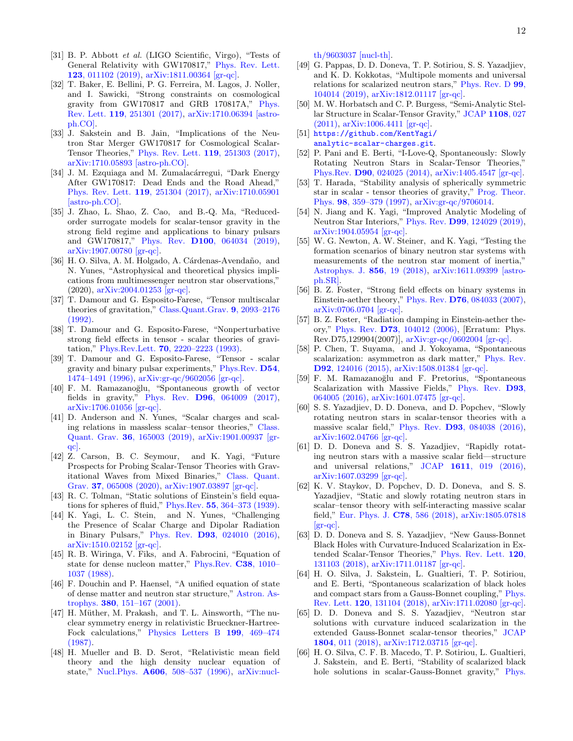- <span id="page-11-0"></span>[31] B. P. Abbott et al. (LIGO Scientific, Virgo), "Tests of General Relativity with GW170817," [Phys. Rev. Lett.](http://dx.doi.org/ 10.1103/PhysRevLett.123.011102) 123[, 011102 \(2019\),](http://dx.doi.org/ 10.1103/PhysRevLett.123.011102) [arXiv:1811.00364 \[gr-qc\].](http://arxiv.org/abs/1811.00364)
- [32] T. Baker, E. Bellini, P. G. Ferreira, M. Lagos, J. Noller, and I. Sawicki, "Strong constraints on cosmological gravity from GW170817 and GRB 170817A," [Phys.](http://dx.doi.org/10.1103/PhysRevLett.119.251301) Rev. Lett. 119[, 251301 \(2017\),](http://dx.doi.org/10.1103/PhysRevLett.119.251301) [arXiv:1710.06394 \[astro](http://arxiv.org/abs/1710.06394)[ph.CO\].](http://arxiv.org/abs/1710.06394)
- [33] J. Sakstein and B. Jain, "Implications of the Neutron Star Merger GW170817 for Cosmological Scalar-Tensor Theories," [Phys. Rev. Lett.](http://dx.doi.org/10.1103/PhysRevLett.119.251303) 119, 251303 (2017), [arXiv:1710.05893 \[astro-ph.CO\].](http://arxiv.org/abs/1710.05893)
- [34] J. M. Ezquiaga and M. Zumalacárregui, "Dark Energy After GW170817: Dead Ends and the Road Ahead," [Phys. Rev. Lett.](http://dx.doi.org/ 10.1103/PhysRevLett.119.251304) 119, 251304 (2017), [arXiv:1710.05901](http://arxiv.org/abs/1710.05901) [\[astro-ph.CO\].](http://arxiv.org/abs/1710.05901)
- <span id="page-11-6"></span>[35] J. Zhao, L. Shao, Z. Cao, and B.-Q. Ma, "Reducedorder surrogate models for scalar-tensor gravity in the strong field regime and applications to binary pulsars and GW170817," Phys. Rev. D100[, 064034 \(2019\),](http://dx.doi.org/10.1103/PhysRevD.100.064034) [arXiv:1907.00780 \[gr-qc\].](http://arxiv.org/abs/1907.00780)
- <span id="page-11-1"></span>[36] H. O. Silva, A. M. Holgado, A. Cárdenas-Avendaño, and N. Yunes, "Astrophysical and theoretical physics implications from multimessenger neutron star observations," (2020), [arXiv:2004.01253 \[gr-qc\].](http://arxiv.org/abs/2004.01253)
- <span id="page-11-2"></span>[37] T. Damour and G. Esposito-Farese, "Tensor multiscalar theories of gravitation," [Class.Quant.Grav.](http://dx.doi.org/ 10.1088/0264-9381/9/9/015) 9, 2093–2176 [\(1992\).](http://dx.doi.org/ 10.1088/0264-9381/9/9/015)
- <span id="page-11-8"></span>[38] T. Damour and G. Esposito-Farese, "Nonperturbative strong field effects in tensor - scalar theories of gravitation," Phys.Rev.Lett. 70[, 2220–2223 \(1993\).](http://dx.doi.org/10.1103/PhysRevLett.70.2220)
- <span id="page-11-3"></span>[39] T. Damour and G. Esposito-Farese, "Tensor - scalar gravity and binary pulsar experiments," [Phys.Rev.](http://dx.doi.org/ 10.1103/PhysRevD.54.1474) D54, [1474–1491 \(1996\),](http://dx.doi.org/ 10.1103/PhysRevD.54.1474) [arXiv:gr-qc/9602056 \[gr-qc\].](http://arxiv.org/abs/gr-qc/9602056)
- <span id="page-11-4"></span>[40] F. M. Ramazanoğlu, "Spontaneous growth of vector fields in gravity," Phys. Rev. D96[, 064009 \(2017\),](http://dx.doi.org/ 10.1103/PhysRevD.96.064009) [arXiv:1706.01056 \[gr-qc\].](http://arxiv.org/abs/1706.01056)
- <span id="page-11-5"></span>[41] D. Anderson and N. Yunes, "Scalar charges and scaling relations in massless scalar–tensor theories," [Class.](http://dx.doi.org/10.1088/1361-6382/ab2eda) Quant. Grav. 36[, 165003 \(2019\),](http://dx.doi.org/10.1088/1361-6382/ab2eda) [arXiv:1901.00937 \[gr](http://arxiv.org/abs/1901.00937)[qc\].](http://arxiv.org/abs/1901.00937)
- <span id="page-11-7"></span>[42] Z. Carson, B. C. Seymour, and K. Yagi, "Future Prospects for Probing Scalar-Tensor Theories with Gravitational Waves from Mixed Binaries," [Class. Quant.](http://dx.doi.org/10.1088/1361-6382/ab6a1f) Grav. 37[, 065008 \(2020\),](http://dx.doi.org/10.1088/1361-6382/ab6a1f) [arXiv:1907.03897 \[gr-qc\].](http://arxiv.org/abs/1907.03897)
- <span id="page-11-9"></span>[43] R. C. Tolman, "Static solutions of Einstein's field equations for spheres of fluid," Phys.Rev. 55[, 364–373 \(1939\).](http://dx.doi.org/10.1103/PhysRev.55.364)
- <span id="page-11-14"></span>[44] K. Yagi, L. C. Stein, and N. Yunes, "Challenging the Presence of Scalar Charge and Dipolar Radiation in Binary Pulsars," Phys. Rev. D93[, 024010 \(2016\),](http://dx.doi.org/ 10.1103/PhysRevD.93.024010) [arXiv:1510.02152 \[gr-qc\].](http://arxiv.org/abs/1510.02152)
- <span id="page-11-10"></span>[45] R. B. Wiringa, V. Fiks, and A. Fabrocini, "Equation of state for dense nucleon matter," [Phys.Rev.](http://dx.doi.org/10.1103/PhysRevC.38.1010) C38, 1010– [1037 \(1988\).](http://dx.doi.org/10.1103/PhysRevC.38.1010)
- <span id="page-11-11"></span>[46] F. Douchin and P. Haensel, "A unified equation of state of dense matter and neutron star structure," [Astron. As](http://dx.doi.org/10.1051/0004-6361:20011402)trophys. 380[, 151–167 \(2001\).](http://dx.doi.org/10.1051/0004-6361:20011402)
- <span id="page-11-12"></span>[47] H. Müther, M. Prakash, and T. L. Ainsworth, "The nuclear symmetry energy in relativistic Brueckner-Hartree-Fock calculations," [Physics Letters B](http://dx.doi.org/10.1016/0370-2693(87)91611-X) 199, 469–474 [\(1987\).](http://dx.doi.org/10.1016/0370-2693(87)91611-X)
- <span id="page-11-13"></span>[48] H. Mueller and B. D. Serot, "Relativistic mean field theory and the high density nuclear equation of state," Nucl.Phys. A606[, 508–537 \(1996\),](http://dx.doi.org/10.1016/0375-9474(96)00187-X) [arXiv:nucl-](http://arxiv.org/abs/nucl-th/9603037)

[th/9603037 \[nucl-th\].](http://arxiv.org/abs/nucl-th/9603037)

- <span id="page-11-15"></span>[49] G. Pappas, D. D. Doneva, T. P. Sotiriou, S. S. Yazadjiev, and K. D. Kokkotas, "Multipole moments and universal relations for scalarized neutron stars," [Phys. Rev. D](http://dx.doi.org/ 10.1103/PhysRevD.99.104014) 99, [104014 \(2019\),](http://dx.doi.org/ 10.1103/PhysRevD.99.104014) [arXiv:1812.01117 \[gr-qc\].](http://arxiv.org/abs/1812.01117)
- <span id="page-11-16"></span>[50] M. W. Horbatsch and C. P. Burgess, "Semi-Analytic Stellar Structure in Scalar-Tensor Gravity," [JCAP](http://dx.doi.org/ 10.1088/1475-7516/2011/08/027) 1108, 027 [\(2011\),](http://dx.doi.org/ 10.1088/1475-7516/2011/08/027) [arXiv:1006.4411 \[gr-qc\].](http://arxiv.org/abs/1006.4411)
- <span id="page-11-17"></span>[51] [https://github.com/KentYagi/](https://github.com/KentYagi/analytic-scalar-charges.git) [analytic-scalar-charges.git](https://github.com/KentYagi/analytic-scalar-charges.git).
- <span id="page-11-18"></span>[52] P. Pani and E. Berti, "I-Love-Q, Spontaneously: Slowly Rotating Neutron Stars in Scalar-Tensor Theories, Phys.Rev. D90[, 024025 \(2014\),](http://dx.doi.org/ 10.1103/PhysRevD.90.024025) [arXiv:1405.4547 \[gr-qc\].](http://arxiv.org/abs/1405.4547)
- <span id="page-11-19"></span>[53] T. Harada, "Stability analysis of spherically symmetric star in scalar - tensor theories of gravity," [Prog. Theor.](http://dx.doi.org/10.1143/PTP.98.359) Phys. 98[, 359–379 \(1997\),](http://dx.doi.org/10.1143/PTP.98.359) [arXiv:gr-qc/9706014.](http://arxiv.org/abs/gr-qc/9706014)
- <span id="page-11-20"></span>[54] N. Jiang and K. Yagi, "Improved Analytic Modeling of Neutron Star Interiors," Phys. Rev. D99[, 124029 \(2019\),](http://dx.doi.org/10.1103/PhysRevD.99.124029) [arXiv:1904.05954 \[gr-qc\].](http://arxiv.org/abs/1904.05954)
- <span id="page-11-21"></span>[55] W. G. Newton, A. W. Steiner, and K. Yagi, "Testing the formation scenarios of binary neutron star systems with measurements of the neutron star moment of inertia," [Astrophys. J.](http://dx.doi.org/10.3847/1538-4357/aaafd1) 856, 19 (2018), [arXiv:1611.09399 \[astro](http://arxiv.org/abs/1611.09399)[ph.SR\].](http://arxiv.org/abs/1611.09399)
- <span id="page-11-22"></span>[56] B. Z. Foster, "Strong field effects on binary systems in Einstein-aether theory," Phys. Rev. D76[, 084033 \(2007\),](http://dx.doi.org/ 10.1103/PhysRevD.76.084033) [arXiv:0706.0704 \[gr-qc\].](http://arxiv.org/abs/0706.0704)
- <span id="page-11-23"></span>[57] B. Z. Foster, "Radiation damping in Einstein-aether theory," Phys. Rev. D73[, 104012 \(2006\),](http://dx.doi.org/ 10.1103/PhysRevD.75.129904, 10.1103/PhysRevD.73.104012) [Erratum: Phys. Rev.D75,129904(2007)], [arXiv:gr-qc/0602004 \[gr-qc\].](http://arxiv.org/abs/gr-qc/0602004)
- <span id="page-11-24"></span>[58] P. Chen, T. Suyama, and J. Yokoyama, "Spontaneous scalarization: asymmetron as dark matter," [Phys. Rev.](http://dx.doi.org/10.1103/PhysRevD.92.124016) D92[, 124016 \(2015\),](http://dx.doi.org/10.1103/PhysRevD.92.124016) [arXiv:1508.01384 \[gr-qc\].](http://arxiv.org/abs/1508.01384)
- [59] F. M. Ramazanoğlu and F. Pretorius, "Spontaneous Scalarization with Massive Fields," [Phys. Rev.](http://dx.doi.org/ 10.1103/PhysRevD.93.064005) **D93**. [064005 \(2016\),](http://dx.doi.org/ 10.1103/PhysRevD.93.064005) [arXiv:1601.07475 \[gr-qc\].](http://arxiv.org/abs/1601.07475)
- [60] S. S. Yazadjiev, D. D. Doneva, and D. Popchev, "Slowly rotating neutron stars in scalar-tensor theories with a massive scalar field," Phys. Rev. D93[, 084038 \(2016\),](http://dx.doi.org/10.1103/PhysRevD.93.084038) [arXiv:1602.04766 \[gr-qc\].](http://arxiv.org/abs/1602.04766)
- <span id="page-11-25"></span>[61] D. D. Doneva and S. S. Yazadjiev, "Rapidly rotating neutron stars with a massive scalar field—structure and universal relations," JCAP 1611[, 019 \(2016\),](http://dx.doi.org/10.1088/1475-7516/2016/11/019) [arXiv:1607.03299 \[gr-qc\].](http://arxiv.org/abs/1607.03299)
- <span id="page-11-26"></span>[62] K. V. Staykov, D. Popchev, D. D. Doneva, and S. S. Yazadjiev, "Static and slowly rotating neutron stars in scalar–tensor theory with self-interacting massive scalar field," [Eur. Phys. J.](http://dx.doi.org/10.1140/epjc/s10052-018-6064-x) C78, 586 (2018), [arXiv:1805.07818](http://arxiv.org/abs/1805.07818)  $\left[\text{gr-qc}\right]$ .
- <span id="page-11-27"></span>[63] D. D. Doneva and S. S. Yazadjiev, "New Gauss-Bonnet Black Holes with Curvature-Induced Scalarization in Extended Scalar-Tensor Theories," [Phys. Rev. Lett.](http://dx.doi.org/10.1103/PhysRevLett.120.131103) 120, [131103 \(2018\),](http://dx.doi.org/10.1103/PhysRevLett.120.131103) [arXiv:1711.01187 \[gr-qc\].](http://arxiv.org/abs/1711.01187)
- [64] H. O. Silva, J. Sakstein, L. Gualtieri, T. P. Sotiriou, and E. Berti, "Spontaneous scalarization of black holes and compact stars from a Gauss-Bonnet coupling," [Phys.](http://dx.doi.org/ 10.1103/PhysRevLett.120.131104) Rev. Lett. 120[, 131104 \(2018\),](http://dx.doi.org/ 10.1103/PhysRevLett.120.131104) [arXiv:1711.02080 \[gr-qc\].](http://arxiv.org/abs/1711.02080)
- [65] D. D. Doneva and S. S. Yazadjiev, "Neutron star solutions with curvature induced scalarization in the extended Gauss-Bonnet scalar-tensor theories," [JCAP](http://dx.doi.org/10.1088/1475-7516/2018/04/011) 1804[, 011 \(2018\),](http://dx.doi.org/10.1088/1475-7516/2018/04/011) [arXiv:1712.03715 \[gr-qc\].](http://arxiv.org/abs/1712.03715)
- [66] H. O. Silva, C. F. B. Macedo, T. P. Sotiriou, L. Gualtieri, J. Sakstein, and E. Berti, "Stability of scalarized black hole solutions in scalar-Gauss-Bonnet gravity," [Phys.](http://dx.doi.org/ 10.1103/PhysRevD.99.064011)